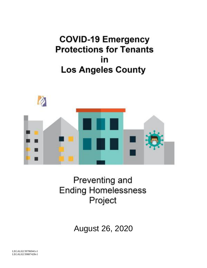# **COVID-19 Emergency Protections for Tenants** in **Los Angeles County**



# Preventing and **Ending Homelessness** Project

August 26, 2020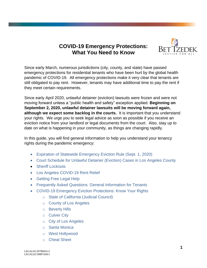# **COVID-19 Emergency Protections: What You Need to Know**



Since early March, numerous jurisdictions (city, county, and state) have passed emergency protections for residential tenants who have been hurt by the global health pandemic of COVID-19. All emergency protections make it very clear that tenants are still obligated to pay rent. However, tenants may have additional time to pay the rent if they meet certain requirements.

Since early April 2020, unlawful detainer (eviction) lawsuits were frozen and were not moving forward unless a "public health and safety" exception applied. **Beginning on September 2, 2020, unlawful detainer lawsuits will be moving forward again, although we expect some backlog in the courts.** It is important that you understand your rights. We urge you to seek legal advice as soon as possible if you receive an eviction notice from your landlord or legal documents from the court. Also, stay up to date on what is happening in your community, as things are changing rapidly.

In this guide, you will find general information to help you understand your tenancy rights during the pandemic emergency:

- [Expiration of Statewide Emergency Eviction Rule](#page-3-0) (Sept. 1, 2020)
- [Court Schedule for Unlawful Detainer \(Eviction\) Cases in Los Angeles County](#page-4-0)
- [Sheriff Lockouts](#page-4-1)
- Los Angeles COVID-19 Rent Relief
- [Getting Free Legal Help](#page-5-0)
- [Frequently Asked Questions: General Information for Tenants](#page-6-0)
- [COVID-19 Emergency Eviction Protections: Know Your Rights](#page-11-0)
	- o [State of California \(Judicial Council\)](#page-12-0)
	- o [County of Los Angeles](#page-13-0)
	- o [Beverly Hills](#page-15-0)
	- o [Culver City](#page-17-0)
	- o [City of Los Angeles](#page-21-0)
	- o [Santa Monica](#page-23-0)
	- o [West Hollywood](#page-26-0)
	- o [Cheat Sheet](#page-28-0)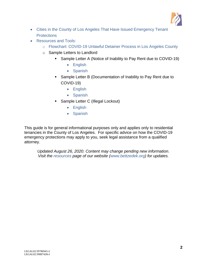

- [Cities in the County of Los Angeles That Have Issued](#page-29-0) Emergency Tenant **[Protections](#page-29-0)**
- [Resources and Tools:](#page-30-0)
	- o [Flowchart: COVID-19 Unlawful Detainer Process in Los Angeles County](#page-31-0)
	- o Sample Letters to Landlord
		- Sample Letter A (Notice of Inability to Pay Rent due to COVID-19)
			- [English](#page-32-0)
			- [Spanish](#page-33-0)
		- Sample Letter B (Documentation of Inability to Pay Rent due to COVID-19)
			- [English](#page-34-0)
			- [Spanish](#page-35-0)
		- Sample Letter C (Illegal Lockout)
			- [English](#page-36-0)
			- [Spanish](#page-37-0)

This guide is for general informational purposes only and applies only to residential tenancies in the County of Los Angeles. For specific advice on how the COVID-19 emergency protections may apply to you, seek legal assistance from a qualified attorney.

*Updated August 26, 2020. Content may change pending new information. Visit the [resources](http://www.bettzedek.org/our-services/resources/) page of our website [\(www.bettzedek.org\)](file:///E:/ELSNER%20FILES/Ed) for updates.*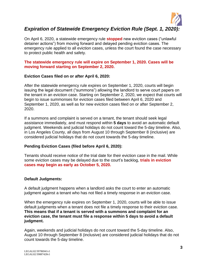

# <span id="page-3-0"></span>*Expiration of Statewide Emergency Eviction Rule (Sept. 1, 2020):*

On April 6, 2020, a statewide emergency rule **stopped** new eviction cases ("unlawful detainer actions") from moving forward and delayed pending eviction cases. The emergency rule applied to all eviction cases, unless the court found the case necessary to protect public health and safety.

**The statewide emergency rule will expire on September 1, 2020. Cases will be moving forward starting on September 2, 2020.**

#### **Eviction Cases filed on or after April 6, 2020:**

After the statewide emergency rule expires on September 1, 2020, courts will begin issuing the legal document ("summons") allowing the landlord to serve court papers on the tenant in an eviction case. Starting on September 2, 2020, we expect that courts will begin to issue summonses for eviction cases filed between April 6, 2020 and September 1, 2020, as well as for new eviction cases filed on or after September 2, 2020.

If a summons and complaint is served on a tenant, the tenant should seek legal assistance immediately, and must respond within **5 days** to avoid an automatic default judgment. Weekends and judicial holidays do not count toward the 5-day timeline. Also, in Los Angeles County, all days from August 10 through September 8 (inclusive) are considered judicial holidays that do not count towards the 5-day timeline.

#### **Pending Eviction Cases (filed before April 6, 2020):**

Tenants should receive notice of the trial date for their eviction case in the mail. While some eviction cases may be delayed due to the court's backlog, **trials in eviction cases may begin as early as October 5, 2020.**

#### **Default Judgments:**

A default judgment happens when a landlord asks the court to enter an automatic judgment against a tenant who has not filed a timely response in an eviction case.

When the emergency rule expires on September 1, 2020, courts will be able to issue default judgments when a tenant does not file a timely response to their eviction case. **This means that if a tenant is served with a summons and complaint for an eviction case, the tenant must file a response within 5 days to avoid a default judgment.**

Again, weekends and judicial holidays do not count toward the 5-day timeline. Also, August 10 through September 8 (inclusive) are considered judicial holidays that do not count towards the 5-day timeline.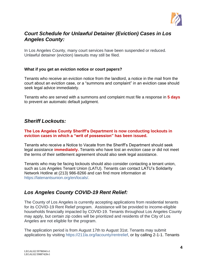

# <span id="page-4-0"></span>*Court Schedule for Unlawful Detainer (Eviction) Cases in Los Angeles County:*

In Los Angeles County, many court services have been suspended or reduced. Unlawful detainer (eviction) lawsuits may still be filed.

#### **What if you get an eviction notice or court papers?**

Tenants who receive an eviction notice from the landlord, a notice in the mail from the court about an eviction case, or a "summons and complaint" in an eviction case should seek legal advice immediately.

Tenants who are served with a summons and complaint must file a response in **5 days** to prevent an automatic default judgment.

### <span id="page-4-1"></span>*Sheriff Lockouts:*

#### **The Los Angeles County Sheriff's Department is now conducting lockouts in eviction cases in which a "writ of possession" has been issued.**

Tenants who receive a Notice to Vacate from the Sheriff's Department should seek legal assistance **immediately.** Tenants who have lost an eviction case or did not meet the terms of their settlement agreement should also seek legal assistance.

Tenants who may be facing lockouts should also consider contacting a tenant union, such as Los Angeles Tenant Union (LATU). Tenants can contact LATU's Solidarity Network Hotline at (213) 986-8266 and can find more information at [https://latenantsunion.org/en/locals/.](https://latenantsunion.org/en/locals/)

### *Los Angeles County COVID-19 Rent Relief:*

The County of Los Angeles is currently accepting applications from residential tenants for its COVID-19 Rent Relief program. Assistance will be provided to income-eligible households financially impacted by COVID-19. Tenants throughout Los Angeles County may apply, but certain zip codes will be prioritized and residents of the City of Los Angeles are not eligible for the program.

The application period is from August 17th to August 31st. Tenants may submit applications by visiting [https://211la.org/lacounty/rentrelief,](https://211la.org/lacounty/rentrelief) or by calling 2-1-1. Tenants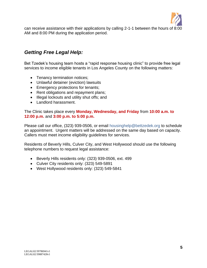

can receive assistance with their applications by calling 2-1-1 between the hours of 8:00 AM and 8:00 PM during the application period.

# <span id="page-5-0"></span>*Getting Free Legal Help:*

Bet Tzedek's housing team hosts a "rapid response housing clinic" to provide free legal services to income eligible tenants in Los Angeles County on the following matters:

- Tenancy termination notices;
- Unlawful detainer (eviction) lawsuits
- Emergency protections for tenants;
- Rent obligations and repayment plans;
- Illegal lockouts and utility shut offs; and
- Landlord harassment.

#### The Clinic takes place every **Monday, Wednesday, and Friday** from **10:00 a.m. to 12:00 p.m.** and **3:00 p.m. to 5:00 p.m.**

Please call our office, (323) 939-0506, or email [housinghelp@bettzedek.org](mailto:housinghelp@bettzedek.org) to schedule an appointment. Urgent matters will be addressed on the same day based on capacity. Callers must meet income eligibility guidelines for services.

Residents of Beverly Hills, Culver City, and West Hollywood should use the following telephone numbers to request legal assistance:

- Beverly Hills residents only: (323) 939-0506, ext. 499
- Culver City residents only: (323) 549-5891
- West Hollywood residents only: (323) 549-5841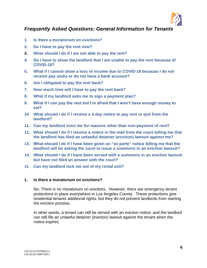

# <span id="page-6-0"></span>*Frequently Asked Questions: General Information for Tenants*

- **1. [Is there a moratorium on evictions?](#page-6-1)**
- **2. [Do I have to pay the rent now?](#page-7-0)**
- **3. [What should I do if I am not able to pay the rent?](#page-7-1)**
- **4. [Do I have to show the landlord that I am unable to pay the rent because of](#page-7-2)  [COVID-19?](#page-7-2)**
- **5. [What if I cannot show a loss of income due to COVID-19 because I do not](#page-7-3)  [receive pay stubs or do not have a bank account?](#page-7-3)**
- **6. [Am I obligated to pay the rent back?](#page-8-0)**
- **7. [How much time will I have to pay the rent back?](#page-8-1)**
- **8. [What if my landlord asks me to sign a payment plan?](#page-8-2)**
- **9. [What if I can pay the rent but I'm afraid that I won't have enough money to](#page-8-3)  [eat?](#page-8-3)**
- **10. [What should I do if I receive a 3-day notice to pay rent or quit from the](#page-8-4)  [landlord?](#page-8-4)**
- **11. [Can my landlord evict me for reasons other than non-payment of rent?](#page-9-0)**
- **12. [What should I do if I receive a notice in the mail from the court telling me that](#page-9-1)  [the landlord has filed an unlawful detainer \(eviction\) lawsuit against me?](#page-9-1)**
- **13. [What should I do if I have been given an "ex parte" notice telling me that the](#page-9-1)  [landlord will be asking the court to issue a summons in an eviction lawsuit?](#page-9-1)**
- **14. [What should I do if I have been served with a summons in an eviction lawsuit](#page-10-0)  [but have not filed an answer with the court?](#page-10-0)**
- **15. [Can my landlord lock me out of my rental unit?](#page-10-1)**

#### <span id="page-6-1"></span>**1. Is there a moratorium on evictions?**

No. There is no moratorium on evictions. However, there are emergency tenant protections in place everywhere in Los Angeles County. These protections give residential tenants additional rights, but they do not prevent landlords from starting the eviction process.

In other words, a tenant can still be served with an eviction notice, and the landlord can still file an unlawful detainer (eviction) lawsuit against the tenant when the notice expires.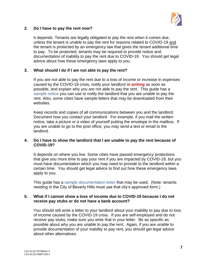

#### <span id="page-7-0"></span>**2. Do I have to pay the rent now?**

It depends. Tenants are legally obligated to pay the rent when it comes due, unless the tenant is unable to pay the rent for reasons related to COVID-19 and the tenant is protected by an emergency law that gives the tenant additional time to pay. To be protected, tenants may be required to provide notice and documentation of inability to pay the rent due to COVID-19. You should get legal advice about how these emergency laws apply to you.

#### <span id="page-7-1"></span>**3. What should I do if I am not able to pay the rent?**

If you are not able to pay the rent due to a loss of income or increase in expenses caused by the COVID-19 crisis, notify your landlord **in writing** as soon as possible, and explain why you are not able to pay the rent. This guide has a [sample notice](#page-32-0) you can use to notify the landlord that you are unable to pay the rent. Also, some cities have sample letters that may be downloaded from their websites.

Keep records and copies of all communications between you and the landlord. Document how you contact your landlord. For example, if you mail the written notice, take a picture or a video of yourself putting the envelope in the mailbox. If you are unable to go to the post office, you may send a text or email to the landlord.

#### <span id="page-7-2"></span>**4. Do I have to show the landlord that I am unable to pay the rent because of COVID-19?**

It depends on where you live. Some cities have passed emergency protections that give you more time to pay your rent if you are impacted by COVID-19, but you must have documentation which you may need to provide to the landlord within a certain time. You should get legal advice to find out how these emergency laws apply to you.

This guide has a [sample documentation letter](#page-34-0) that may be used. (Note: tenants residing in the City of Beverly Hills must use that city's approved form.)

#### <span id="page-7-3"></span>**5. What if I cannot show a loss of income due to COVID-19 because I do not receive pay stubs or do not have a bank account?**

You should still write a letter to your landlord about your inability to pay due to loss of income caused by the COVID-19 crisis. If you are self-employed and do not receive pay stubs, make sure you write that in your letter. Be as specific as possible about why you are unable to pay the rent. Again, if you are unable to provide documentation of your inability to pay rent, you should get legal advice about other alternatives.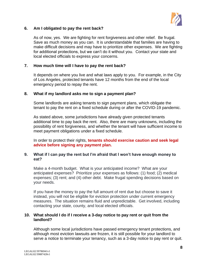

#### <span id="page-8-0"></span>**6. Am I obligated to pay the rent back?**

As of now, yes. We are fighting for rent forgiveness and other relief. Be frugal. Save as much money as you can. It is understandable that families are having to make difficult decisions and may have to prioritize other expenses. We are fighting for additional protections, but we can't do it without you. Contact your state and local elected officials to express your concerns.

#### <span id="page-8-1"></span>**7. How much time will I have to pay the rent back?**

It depends on where you live and what laws apply to you. For example, in the City of Los Angeles, protected tenants have 12 months from the end of the local emergency period to repay the rent.

#### <span id="page-8-2"></span>**8. What if my landlord asks me to sign a payment plan?**

Some landlords are asking tenants to sign payment plans, which obligate the tenant to pay the rent on a fixed schedule during or after the COVID-19 pandemic.

As stated above, some jurisdictions have already given protected tenants additional time to pay back the rent. Also, there are many unknowns, including the possibility of rent forgiveness, and whether the tenant will have sufficient income to meet payment obligations under a fixed schedule.

In order to protect their rights, **tenants should exercise caution and seek legal advice before signing any payment plan.**

#### <span id="page-8-3"></span>**9. What if I can pay the rent but I'm afraid that I won't have enough money to eat?**

Make a 4-month budget. What is your anticipated income? What are your anticipated expenses? Prioritize your expenses as follows: (1) food; (2) medical expenses; (3) rent; and (4) other debt. Make frugal spending decisions based on your needs.

If you have the money to pay the full amount of rent due but choose to save it instead, you will not be eligible for eviction protection under current emergency measures. The situation remains fluid and unpredictable. Get involved, including contacting your state, county, and local elected officials.

#### <span id="page-8-4"></span>**10. What should I do if I receive a 3-day notice to pay rent or quit from the landlord?**

Although some local jurisdictions have passed emergency tenant protections, and although most eviction lawsuits are frozen, it is still possible for your landlord to serve a notice to terminate your tenancy, such as a 3-day notice to pay rent or quit.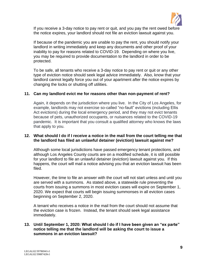

If you receive a 3-day notice to pay rent or quit, and you pay the rent owed before the notice expires, your landlord should not file an eviction lawsuit against you.

If because of the pandemic you are unable to pay the rent, you should notify your landlord in writing immediately and keep any documents and other proof of your inability to pay for reasons related to COVID-19. Depending on where you live, you may be required to provide documentation to the landlord in order to be protected.

To be safe, all tenants who receive a 3-day notice to pay rent or quit or any other type of eviction notice should seek legal advice immediately. Also, know that your landlord cannot legally force you out of your apartment after the notice expires by changing the locks or shutting off utilities.

#### <span id="page-9-0"></span>**11. Can my landlord evict me for reasons other than non-payment of rent?**

Again, it depends on the jurisdiction where you live. In the City of Los Angeles, for example, landlords may not exercise so-called "no-fault" evictions (including Ellis Act evictions) during the local emergency period, and they may not evict tenants because of pets, unauthorized occupants, or nuisances related to the COVID-19 pandemic. It is important that you consult a qualified attorney who knows the laws that apply to you.

#### <span id="page-9-1"></span>**12. What should I do if I receive a notice in the mail from the court telling me that the landlord has filed an unlawful detainer (eviction) lawsuit against me?**

Although some local jurisdictions have passed emergency tenant protections, and although Los Angeles County courts are on a modified schedule, it is still possible for your landlord to file an unlawful detainer (eviction) lawsuit against you. If this happens, the court will mail a notice advising you that an eviction lawsuit has been filed.

However, the time to file an answer with the court will not start unless and until you are served with a summons. As stated above, a statewide rule preventing the courts from issuing a summons in most eviction cases will expire on September 1, 2020. We expect that courts will begin issuing summonses in all eviction cases beginning on September 2, 2020.

A tenant who receives a notice in the mail from the court should not assume that the eviction case is frozen. Instead, the tenant should seek legal assistance immediately.

#### **13. Until September 1, 2020: What should I do if I have been given an "ex parte" notice telling me that the landlord will be asking the court to issue a summons in an eviction lawsuit?**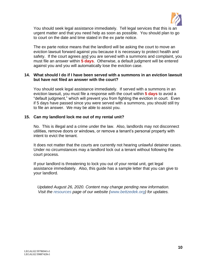

You should seek legal assistance immediately. Tell legal services that this is an urgent matter and that you need help as soon as possible. You should plan to go to court on the date and time stated in the ex parte notice.

The ex parte notice means that the landlord will be asking the court to move an eviction lawsuit forward against you because it is necessary to protect health and safety. If the court agrees and you are served with a summons and complaint, you must file an answer within **5 days**. Otherwise, a default judgment will be entered against you and you will automatically lose the eviction case.

#### <span id="page-10-0"></span>**14. What should I do if I have been served with a summons in an eviction lawsuit but have not filed an answer with the court?**

You should seek legal assistance immediately. If served with a summons in an eviction lawsuit, you must file a response with the court within **5 days** to avoid a "default judgment," which will prevent you from fighting the eviction in court. Even if 5 days have passed since you were served with a summons, you should still try to file an answer. We may be able to assist you.

#### <span id="page-10-1"></span>**15. Can my landlord lock me out of my rental unit?**

No. This is illegal and a crime under the law. Also, landlords may not disconnect utilities, remove doors or windows, or remove a tenant's personal property with intent to evict the tenant.

It does not matter that the courts are currently not hearing unlawful detainer cases. Under no circumstances may a landlord lock out a tenant without following the court process.

If your landlord is threatening to lock you out of your rental unit, get legal assistance immediately. Also, this guide has a sample letter that you can give to your landlord.

*Updated August 26, 2020. Content may change pending new information. Visit the [resources](http://www.bettzedek.org/our-services/resources/) page of our website [\(www.bettzedek.org\)](file:///E:/ELSNER%20FILES/Ed) for updates.*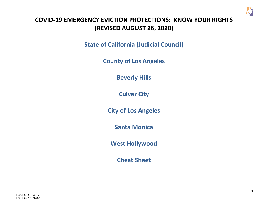

# <span id="page-11-0"></span>**COVID-19 EMERGENCY EVICTION PROTECTIONS: KNOW YOUR RIGHTS (REVISED AUGUST 26, 2020)**

**[State of California \(Judicial Council\)](#page-12-1)**

**[County of Los Angeles](#page-13-1)**

**[Beverly Hills](#page-15-1)**

**[Culver City](#page-17-1)**

**[City of Los Angeles](#page-21-1)**

**[Santa Monica](#page-23-1)**

**[West Hollywood](#page-26-1)**

**[Cheat Sheet](#page-28-1)**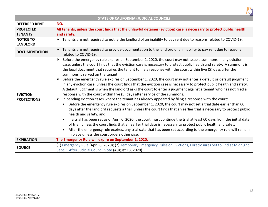<span id="page-12-1"></span><span id="page-12-0"></span>

| <b>STATE OF CALIFORNIA (JUDICIAL COUNCIL)</b> |                                                                                                                                                                                                                                                                                                                                                                                                                                                                                                                                                                                                                                                                                                                                                                                                                                                                                                                                                                                                                                                                                                                                                                                                                                                                                                                                                                                                                                                                                                                                                                                                                                                                    |
|-----------------------------------------------|--------------------------------------------------------------------------------------------------------------------------------------------------------------------------------------------------------------------------------------------------------------------------------------------------------------------------------------------------------------------------------------------------------------------------------------------------------------------------------------------------------------------------------------------------------------------------------------------------------------------------------------------------------------------------------------------------------------------------------------------------------------------------------------------------------------------------------------------------------------------------------------------------------------------------------------------------------------------------------------------------------------------------------------------------------------------------------------------------------------------------------------------------------------------------------------------------------------------------------------------------------------------------------------------------------------------------------------------------------------------------------------------------------------------------------------------------------------------------------------------------------------------------------------------------------------------------------------------------------------------------------------------------------------------|
| <b>DEFERRED RENT</b>                          | NO.                                                                                                                                                                                                                                                                                                                                                                                                                                                                                                                                                                                                                                                                                                                                                                                                                                                                                                                                                                                                                                                                                                                                                                                                                                                                                                                                                                                                                                                                                                                                                                                                                                                                |
| <b>PROTECTED</b><br><b>TENANTS</b>            | All tenants, unless the court finds that the unlawful detainer (eviction) case is necessary to protect public health<br>and safety.                                                                                                                                                                                                                                                                                                                                                                                                                                                                                                                                                                                                                                                                                                                                                                                                                                                                                                                                                                                                                                                                                                                                                                                                                                                                                                                                                                                                                                                                                                                                |
| <b>NOTICE TO</b><br><b>LANDLORD</b>           | $\triangleright$ Tenants are not required to notify the landlord of an inability to pay rent due to reasons related to COVID-19.                                                                                                                                                                                                                                                                                                                                                                                                                                                                                                                                                                                                                                                                                                                                                                                                                                                                                                                                                                                                                                                                                                                                                                                                                                                                                                                                                                                                                                                                                                                                   |
| <b>DOCUMENTATION</b>                          | Tenants are not required to provide documentation to the landlord of an inability to pay rent due to reasons<br>related to COVID-19.                                                                                                                                                                                                                                                                                                                                                                                                                                                                                                                                                                                                                                                                                                                                                                                                                                                                                                                                                                                                                                                                                                                                                                                                                                                                                                                                                                                                                                                                                                                               |
| <b>EVICTION</b><br><b>PROTECTIONS</b>         | Before the emergency rule expires on September 1, 2020, the court may not issue a summons in any eviction<br>$\blacktriangleright$<br>case, unless the court finds that the eviction case is necessary to protect public health and safety. A summons is<br>the legal document that requires the tenant to file a response with the court within five (5) days after the<br>summons is served on the tenant.<br>Before the emergency rule expires on September 1, 2020, the court may not enter a default or default judgment<br>➤<br>in any eviction case, unless the court finds that the eviction case is necessary to protect public health and safety.<br>A default judgment is when the landlord asks the court to enter a judgment against a tenant who has not filed a<br>response with the court within five (5) days after service of the summons.<br>In pending eviction cases where the tenant has already appeared by filing a response with the court:<br>➤<br>Before the emergency rule expires on September 1, 2020, the court may not set a trial date earlier than 60<br>$\bullet$<br>days after the landlord requests a trial, unless the court finds that an earlier trial is necessary to protect public<br>health and safety; and<br>If a trial has been set as of April 6, 2020, the court must continue the trial at least 60 days from the initial date<br>of trial, unless the court finds that an earlier trial date is necessary to protect public health and safety.<br>After the emergency rule expires, any trial date that has been set according to the emergency rule will remain<br>in place unless the court orders otherwise. |
| <b>EXPIRATION</b>                             | The Emergency Rule will expire on September 1, 2020.                                                                                                                                                                                                                                                                                                                                                                                                                                                                                                                                                                                                                                                                                                                                                                                                                                                                                                                                                                                                                                                                                                                                                                                                                                                                                                                                                                                                                                                                                                                                                                                                               |
| <b>SOURCE</b>                                 | (1) Emergency Rule (April 6, 2020); (2) Temporary Emergency Rules on Evictions, Foreclosures Set to End at Midnight<br>Sept. 1 After Judicial Council Vote (August 13, 2020).                                                                                                                                                                                                                                                                                                                                                                                                                                                                                                                                                                                                                                                                                                                                                                                                                                                                                                                                                                                                                                                                                                                                                                                                                                                                                                                                                                                                                                                                                      |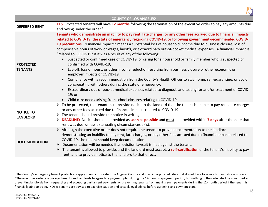

<span id="page-13-1"></span><span id="page-13-0"></span>

| <b>COUNTY OF LOS ANGELES1</b>       |                                                                                                                                                                                                                                                                                                                                                                                                                                                                                                                                                                                                                                                                                                                                                                                                                                                                                                                                                                                                                                                                                                                                                                                                             |
|-------------------------------------|-------------------------------------------------------------------------------------------------------------------------------------------------------------------------------------------------------------------------------------------------------------------------------------------------------------------------------------------------------------------------------------------------------------------------------------------------------------------------------------------------------------------------------------------------------------------------------------------------------------------------------------------------------------------------------------------------------------------------------------------------------------------------------------------------------------------------------------------------------------------------------------------------------------------------------------------------------------------------------------------------------------------------------------------------------------------------------------------------------------------------------------------------------------------------------------------------------------|
| <b>DEFERRED RENT</b>                | YES. Protected tenants will have 12 months following the termination of the executive order to pay any amounts due<br>and owing under the order. <sup>2</sup>                                                                                                                                                                                                                                                                                                                                                                                                                                                                                                                                                                                                                                                                                                                                                                                                                                                                                                                                                                                                                                               |
| <b>PROTECTED</b><br><b>TENANTS</b>  | Tenants who demonstrate an inability to pay rent, late charges, or any other fees accrued due to financial impacts<br>related to COVID-19, the state of emergency regarding COVID-19, or following government-recommended COVID-<br>19 precautions. "Financial impacts" means a substantial loss of household income due to business closure, loss of<br>compensable hours of work or wages, layoffs, or extraordinary out-of-pocket medical expenses. A financial impact is<br>"related to COVID-19" if it was a result of any of the following:<br>Suspected or confirmed case of COVID-19, or caring for a household or family member who is suspected or<br>confirmed with COVID-19;<br>Lay-off, loss of hours, or other income reduction resulting from business closure or other economic or<br>employer impacts of COVID-19;<br>Compliance with a recommendation from the County's Health Officer to stay home, self-quarantine, or avoid<br>congregating with others during the state of emergency;<br>Extraordinary out-of-pocket medical expenses related to diagnosis and testing for and/or treatment of COVID-<br>19; or<br>Child care needs arising from school closures relating to COVID-19 |
| <b>NOTICE TO</b><br><b>LANDLORD</b> | $\triangleright$ To be protected, the tenant must provide notice to the landlord that the tenant is unable to pay rent, late charges,<br>or any other fees accrued due to financial impacts related to COVID-19.<br>$\triangleright$ The tenant should provide the notice in writing.<br><b>DEADLINE:</b> Notice should be provided as soon as possible and must be provided within 7 days after the date that<br>rent was due, unless extenuating circumstances exist.                                                                                                                                                                                                                                                                                                                                                                                                                                                                                                                                                                                                                                                                                                                                     |
| <b>DOCUMENTATION</b>                | Although the executive order does not require the tenant to provide documentation to the landlord<br>demonstrating an inability to pay rent, late charges, or any other fees accrued due to financial impacts related to<br>COVID-19, the tenant should keep documentation.<br>Documentation will be needed if an eviction lawsuit is filed against the tenant.<br>➤<br>The tenant is allowed to provide, and the landlord must accept, a self-certification of the tenant's inability to pay<br>➤<br>rent, and to provide notice to the landlord to that effect.                                                                                                                                                                                                                                                                                                                                                                                                                                                                                                                                                                                                                                           |

<sup>&</sup>lt;sup>1</sup> The County's emergency tenant protections apply in unincorporated Los Angeles County and in all incorporated cities that do not have local eviction moratoria in place. <sup>2</sup> The executive order encourages tenants and landlords to agree to a payment plan during the 12-month repayment period, but nothing in the order shall be construed as preventing landlords from requesting and accepting partial rent payments, or preventing tenants from making such payments during the 12-month period if the tenant is financially able to do so. NOTE: Tenants are advised to exercise caution and to seek legal advice before agreeing to a payment plan.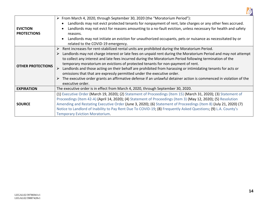

|                          | ≻ From March 4, 2020, through September 30, 2020 (the "Moratorium Period"):                                                     |
|--------------------------|---------------------------------------------------------------------------------------------------------------------------------|
|                          | Landlords may not evict protected tenants for nonpayment of rent, late charges or any other fees accrued.                       |
| <b>EVICTION</b>          | Landlords may not evict for reasons amounting to a no-fault eviction, unless necessary for health and safety                    |
| <b>PROTECTIONS</b>       | reasons.                                                                                                                        |
|                          | Landlords may not initiate an eviction for unauthorized occupants, pets or nuisance as necessitated by or                       |
|                          | related to the COVID-19 emergency.                                                                                              |
|                          | Rent increases for rent-stabilized rental units are prohibited during the Moratorium Period.                                    |
|                          | $\triangleright$ Landlords may not charge interest or late fees on unpaid rent during the Moratorium Period and may not attempt |
|                          | to collect any interest and late fees incurred during the Moratorium Period following termination of the                        |
| <b>OTHER PROTECTIONS</b> | temporary moratorium on evictions of protected tenants for non-payment of rent.                                                 |
|                          | Landlords and those acting on their behalf are prohibited from harassing or intimidating tenants for acts or                    |
|                          | omissions that that are expressly permitted under the executive order.                                                          |
|                          | The executive order grants an affirmative defense if an unlawful detainer action is commenced in violation of the<br>➤          |
|                          | executive order.                                                                                                                |
| <b>EXPIRATION</b>        | The executive order is in effect from March 4, 2020, through September 30, 2020.                                                |
|                          | (1) Executive Order (March 19, 2020); (2) Statement of Proceedings (Item 15) (March 31, 2020); (3) Statement of                 |
| <b>SOURCE</b>            | Proceedings (Item 42-A) (April 14, 2020); (4) Statement of Proceedings (Item 3) (May 12, 2020); (5) Resolution                  |
|                          | Amending and Restating Executive Order (June 3, 2020); (6) Statement of Proceedings (Item 8) (July 21, 2020) (7)                |
|                          | Notice to Landlord of Inability to Pay Rent Due To COVID-19; (8) Frequently Asked Questions; (9) L.A. County's                  |
|                          | <b>Temporary Eviction Moratorium.</b>                                                                                           |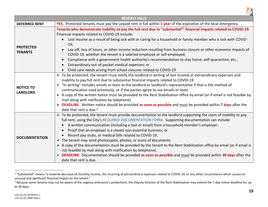

<span id="page-15-1"></span><span id="page-15-0"></span>

| <b>BEVERLY HILLS</b>                |                                                                                                                                                                                                                                                                                                                                                                                                                                                                                                                                                                                                                                                                                                                                                                                                                                                                            |
|-------------------------------------|----------------------------------------------------------------------------------------------------------------------------------------------------------------------------------------------------------------------------------------------------------------------------------------------------------------------------------------------------------------------------------------------------------------------------------------------------------------------------------------------------------------------------------------------------------------------------------------------------------------------------------------------------------------------------------------------------------------------------------------------------------------------------------------------------------------------------------------------------------------------------|
| <b>DEFERRED RENT</b>                | YES. Protected tenants must pay the unpaid rent in full within 1 year of the expiration of the local emergency.                                                                                                                                                                                                                                                                                                                                                                                                                                                                                                                                                                                                                                                                                                                                                            |
| <b>PROTECTED</b><br><b>TENANTS</b>  | Tenants who demonstrate inability to pay the full rent due to "substantial" <sup>1</sup> financial impacts related to COVID-19.<br>Financial impacts related to COVID-19 include:<br>Lost income as a result of being sick with or caring for a household or family member who is sick with COVID-<br>19;<br>Lay-off, loss of hours, or other income reduction resulting from business closure or other economic impacts of<br>COVID-19, whether the tenant is a salaried employee or self-employed;<br>Compliance with a government health authority's recommendation to stay home, self-quarantine, etc.;<br>Extraordinary out-of-pocket medical expenses; or<br>Child care needs arising from school closures related to COVID-19                                                                                                                                       |
| <b>NOTICE TO</b><br><b>LANDLORD</b> | $\triangleright$ To be protected, the tenant must notify the landlord in writing of lost income or extraordinary expenses and<br>inability to pay full rent due to substantial financial impacts related to COVID-19.<br>"In writing" includes emails or texts to the landlord or landlord's representative if that is the method of<br>communication used previously, or if the parties agree to use emails or texts.<br>A copy of the written notice must be provided to the Rent Stabilization office by email (or if email is not feasible by<br>mail along with notification by telephone).<br><b>DEADLINE:</b> Written notice should be provided as soon as possible and must be provided within 7 days after the<br>date that rent is due. <sup>2</sup>                                                                                                             |
| <b>DOCUMENTATION</b>                | To be protected, the tenant must provide documentation to the landlord supporting the claim of inability to pay<br>full rent, using the City's REQUIRED DOCUMENTATION FORM. Supporting documentation can include:<br>A written communication (including a text or email) from a household member's employer;<br>$\bullet$<br>Proof that an employer is a closed non-essential business; or<br>Recent pay stubs, or medical bills related to COVID-19.<br>$\triangleright$ The tenant may send photocopies, photos, or scans of documents.<br>A copy of the documentation must be provided by the tenant to the Rent Stabilization office by email (or if email is<br>not feasible by mail along with notification by telephone).<br>DEADLINE: Documentation should be provided as soon as possible and must be provided within 30 days after the<br>date that rent is due. |

 $1$  "Substantial" means "a material decrease of monthly income, the incurring of extraordinary expenses related to COVID-19, or any other circumstance which causes an unusual and significant financial impact on the tenant."

<sup>&</sup>lt;sup>2</sup> Because some tenants may not be aware of the urgency ordinance's protections, the Deputy Director of the Rent Stabilization may extend the 7-day notice deadline for up to 30 days.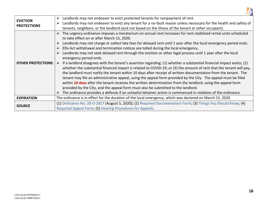

| <b>EVICTION</b><br><b>PROTECTIONS</b> | Landlords may not endeavor to evict protected tenants for nonpayment of rent.<br>➤                                                                                                                                                                                                                                                                                                                                                                                                                                                                                                                                                                                                                                                                                                                   |
|---------------------------------------|------------------------------------------------------------------------------------------------------------------------------------------------------------------------------------------------------------------------------------------------------------------------------------------------------------------------------------------------------------------------------------------------------------------------------------------------------------------------------------------------------------------------------------------------------------------------------------------------------------------------------------------------------------------------------------------------------------------------------------------------------------------------------------------------------|
|                                       | Landlords may not endeavor to evict any tenant for a no-fault reason unless necessary for the health and safety of<br>➤                                                                                                                                                                                                                                                                                                                                                                                                                                                                                                                                                                                                                                                                              |
|                                       | tenants, neighbors, or the landlord (and not based on the illness of the tenant or other occupant).                                                                                                                                                                                                                                                                                                                                                                                                                                                                                                                                                                                                                                                                                                  |
|                                       | The urgency ordinance imposes a moratorium on annual rent increases for rent-stabilized rental units scheduled                                                                                                                                                                                                                                                                                                                                                                                                                                                                                                                                                                                                                                                                                       |
|                                       | to take effect on or after March 15, 2020.                                                                                                                                                                                                                                                                                                                                                                                                                                                                                                                                                                                                                                                                                                                                                           |
|                                       | Landlords may not charge or collect late fees for delayed rent until 1 year after the local emergency period ends.                                                                                                                                                                                                                                                                                                                                                                                                                                                                                                                                                                                                                                                                                   |
|                                       | Ellis Act withdrawal and termination notices are tolled during the local emergency.                                                                                                                                                                                                                                                                                                                                                                                                                                                                                                                                                                                                                                                                                                                  |
| <b>OTHER PROTECTIONS</b>              | Landlords may not seek delayed rent through the eviction or other legal process until 1 year after the local<br>emergency period ends.                                                                                                                                                                                                                                                                                                                                                                                                                                                                                                                                                                                                                                                               |
|                                       | If a landlord disagrees with the tenant's assertion regarding: (1) whether a substantial financial impact exists; (2)<br>whether the substantial financial impact is related to COVID-19; or (3) the amount of rent that the tenant will pay,<br>the landlord must notify the tenant within 10 days after receipt of written documentation from the tenant. The<br>tenant may file an administrative appeal, using the appeal form provided by the City. The appeal must be filed<br>within 10 days after the tenant receives the written determination from the landlord, using the appeal form<br>provided by the City, and the appeal form must also be submitted to the landlord.<br>The ordinance provides a defense if an unlawful detainer action is commenced in violation of the ordinance. |
| <b>EXPIRATION</b>                     | The ordinance is in effect for the duration of the local emergency, which was declared on March 15, 2020.                                                                                                                                                                                                                                                                                                                                                                                                                                                                                                                                                                                                                                                                                            |
| <b>SOURCE</b>                         | (1) Ordinance No. 20-O-2817 (August 5, 2020); (2) Required Documentation Form; (3) Things You Should Know; (4)                                                                                                                                                                                                                                                                                                                                                                                                                                                                                                                                                                                                                                                                                       |
|                                       | Required Appeal Form; (5) Hearing Procedures for Appeals.                                                                                                                                                                                                                                                                                                                                                                                                                                                                                                                                                                                                                                                                                                                                            |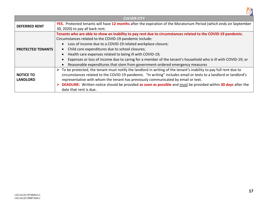

<span id="page-17-1"></span><span id="page-17-0"></span>

| <b>CULVER CITY</b>                  |                                                                                                                                                                                                                                                                                                                                                                                                                                                                                                                                                       |
|-------------------------------------|-------------------------------------------------------------------------------------------------------------------------------------------------------------------------------------------------------------------------------------------------------------------------------------------------------------------------------------------------------------------------------------------------------------------------------------------------------------------------------------------------------------------------------------------------------|
| <b>DEFERRED RENT</b>                | YES. Protected tenants will have 12 months after the expiration of the Moratorium Period (which ends on September<br>30, 2020) to pay all back rent.                                                                                                                                                                                                                                                                                                                                                                                                  |
| <b>PROTECTED TENANTS</b>            | Tenants who are able to show an inability to pay rent due to circumstances related to the COVID-19 pandemic.<br>Circumstances related to the COVID-19 pandemic include:<br>Loss of income due to a COVID-19 related workplace closure;<br>Child care expenditures due to school closures;<br>Health care expenses related to being ill with COVID-19;<br>Expenses or loss of income due to caring for a member of the tenant's household who is ill with COVID-19; or<br>Reasonable expenditures that stem from government-ordered emergency measures |
| <b>NOTICE TO</b><br><b>LANDLORD</b> | $\triangleright$ To be protected, the tenant must notify the landlord in writing of the tenant's inability to pay full rent due to<br>circumstances related to the COVID-19 pandemic. "In writing" includes email or texts to a landlord or landlord's<br>representative with whom the tenant has previously communicated by email or text.<br><b>DEADLINE:</b> Written notice should be provided as soon as possible and must be provided within 30 days after the<br>date that rent is due.                                                         |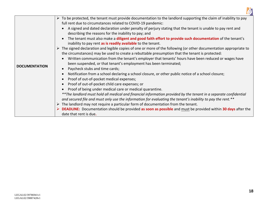

|                      | $\triangleright$ To be protected, the tenant must provide documentation to the landlord supporting the claim of inability to pay  |
|----------------------|-----------------------------------------------------------------------------------------------------------------------------------|
|                      | full rent due to circumstances related to COVID-19 pandemic:                                                                      |
|                      | • A signed and dated declaration under penalty of perjury stating that the tenant is unable to pay rent and                       |
|                      | describing the reasons for the inability to pay; and                                                                              |
|                      | The tenant must also make a diligent and good faith effort to provide such documentation of the tenant's                          |
|                      | inability to pay rent as is readily available to the tenant.                                                                      |
|                      | $\triangleright$ The signed declaration and legible copies of one or more of the following (or other documentation appropriate to |
|                      | the circumstances) may be used to create a rebuttable presumption that the tenant is protected:                                   |
|                      | • Written communication from the tenant's employer that tenants' hours have been reduced or wages have                            |
|                      | been suspended, or that tenant's employment has been terminated;                                                                  |
| <b>DOCUMENTATION</b> | Paycheck stubs and time cards;                                                                                                    |
|                      | Notification from a school declaring a school closure, or other public notice of a school closure;<br>$\bullet$                   |
|                      | Proof of out-of-pocket medical expenses;<br>$\bullet$                                                                             |
|                      | Proof of out-of-pocket child care expenses; or<br>$\bullet$                                                                       |
|                      | Proof of being under medical care or medical quarantine.<br>$\bullet$                                                             |
|                      | **The landlord must hold all medical and financial information provided by the tenant in a separate confidential                  |
|                      | and secured file and must only use the information for evaluating the tenant's inability to pay the rent.**                       |
|                      | $\triangleright$ The landlord may not require a particular form of documentation from the tenant.                                 |
|                      | $\triangleright$ DEADLINE: Documentation should be provided as soon as possible and must be provided within 30 days after the     |
|                      | date that rent is due.                                                                                                            |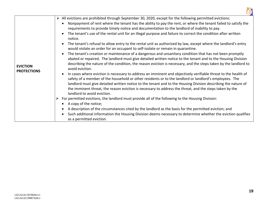

| <b>EVICTION</b><br><b>PROTECTIONS</b> | $\triangleright$ All evictions are prohibited through September 30, 2020, except for the following permitted evictions:<br>Nonpayment of rent where the tenant has the ability to pay the rent, or where the tenant failed to satisfy the<br>$\bullet$<br>requirements to provide timely notice and documentation to the landlord of inability to pay.<br>The tenant's use of the rental unit for an illegal purpose and failure to correct the condition after written<br>notice.<br>The tenant's refusal to allow entry to the rental unit as authorized by law, except where the landlord's entry<br>$\bullet$<br>would violate an order for an occupant to self-isolate or remain in quarantine.<br>The tenant's creation or maintenance of a dangerous and unsanitary condition that has not been promptly<br>$\bullet$<br>abated or repaired. The landlord must give detailed written notice to the tenant and to the Housing Division<br>describing the nature of the condition, the reason eviction is necessary, and the steps taken by the landlord to<br>avoid eviction.<br>In cases where eviction is necessary to address an imminent and objectively verifiable threat to the health of<br>$\bullet$<br>safety of a member of the household or other residents or to the landlord or landlord's employees. The<br>landlord must give detailed written notice to the tenant and to the Housing Division describing the nature of<br>the imminent threat, the reason eviction is necessary to address the threat, and the steps taken by the<br>landlord to avoid eviction.<br>For permitted evictions, the landlord must provide all of the following to the Housing Division:<br>A copy of the notice;<br>$\bullet$<br>A description of the circumstances cited by the landlord as the basis for the permitted eviction; and<br>$\bullet$<br>Such additional information the Housing Division deems necessary to determine whether the eviction qualifies<br>$\bullet$<br>as a permitted eviction. |
|---------------------------------------|------------------------------------------------------------------------------------------------------------------------------------------------------------------------------------------------------------------------------------------------------------------------------------------------------------------------------------------------------------------------------------------------------------------------------------------------------------------------------------------------------------------------------------------------------------------------------------------------------------------------------------------------------------------------------------------------------------------------------------------------------------------------------------------------------------------------------------------------------------------------------------------------------------------------------------------------------------------------------------------------------------------------------------------------------------------------------------------------------------------------------------------------------------------------------------------------------------------------------------------------------------------------------------------------------------------------------------------------------------------------------------------------------------------------------------------------------------------------------------------------------------------------------------------------------------------------------------------------------------------------------------------------------------------------------------------------------------------------------------------------------------------------------------------------------------------------------------------------------------------------------------------------------------------------------------------------------------------------------------------------------------------|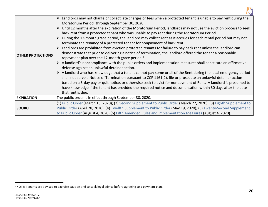

|                          | > Landlords may not charge or collect late charges or fees when a protected tenant is unable to pay rent during the                                                                                                                                                                                                                                                                                                                                                                                                                                                                                                                                                                                                                                                                                                                                                                                                                                                                                                                                                                                                                                                                                                                                                                                                                                                                                                                                                                                   |
|--------------------------|-------------------------------------------------------------------------------------------------------------------------------------------------------------------------------------------------------------------------------------------------------------------------------------------------------------------------------------------------------------------------------------------------------------------------------------------------------------------------------------------------------------------------------------------------------------------------------------------------------------------------------------------------------------------------------------------------------------------------------------------------------------------------------------------------------------------------------------------------------------------------------------------------------------------------------------------------------------------------------------------------------------------------------------------------------------------------------------------------------------------------------------------------------------------------------------------------------------------------------------------------------------------------------------------------------------------------------------------------------------------------------------------------------------------------------------------------------------------------------------------------------|
| <b>OTHER PROTECTIONS</b> | Moratorium Period (through September 30, 2020).<br>$\triangleright$ Until 12 months after the expiration of the Moratorium Period, landlords may not use the eviction process to seek<br>back rent from a protected tenant who was unable to pay rent during the Moratorium Period.<br>During the 12-month grace period, the landlord may collect rent as it accrues for each rental period but may not<br>terminate the tenancy of a protected tenant for nonpayment of back rent.<br>$\triangleright$ Landlords are prohibited from eviction protected tenants for failure to pay back rent unless the landlord can<br>demonstrate that prior to delivering a notice of termination, the landlord offered the tenant a reasonable<br>repayment plan over the 12-month grace period. <sup>1</sup><br>$\triangleright$ A landlord's noncompliance with the public orders and implementation measures shall constitute an affirmative<br>defense against an unlawful detainer action.<br>$\triangleright$ A landlord who has knowledge that a tenant cannot pay some or all of the Rent during the local emergency period<br>shall not serve a Notice of Termination pursuant to CCP 1161(2), file or prosecute an unlawful detainer action<br>based on a 3-day pay or quit notice, or otherwise seek to evict for nonpayment of Rent. A landlord is presumed to<br>have knowledge if the tenant has provided the required notice and documentation within 30 days after the date<br>that rent is due. |
| <b>EXPIRATION</b>        | The public order is in effect through September 30, 2020.                                                                                                                                                                                                                                                                                                                                                                                                                                                                                                                                                                                                                                                                                                                                                                                                                                                                                                                                                                                                                                                                                                                                                                                                                                                                                                                                                                                                                                             |
| <b>SOURCE</b>            | (1) Public Order (March 16, 2020); (2) Second Supplement to Public Order (March 27, 2020); (3) Eighth Supplement to<br>Public Order (April 28, 2020); (4) Twelfth Supplement to Public Order (May 19, 2020); (5) Twenty-Second Supplement<br>to Public Order (August 4, 2020) (6) Fifth Amended Rules and Implementation Measures (August 4, 2020).                                                                                                                                                                                                                                                                                                                                                                                                                                                                                                                                                                                                                                                                                                                                                                                                                                                                                                                                                                                                                                                                                                                                                   |

 $1$  NOTE: Tenants are advised to exercise caution and to seek legal advice before agreeing to a payment plan.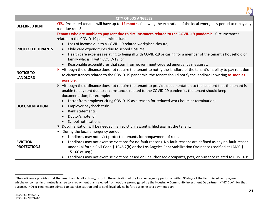

<span id="page-21-1"></span><span id="page-21-0"></span>

| <b>CITY OF LOS ANGELES</b>            |                                                                                                                                                                                                                                                                                                                                                                                                                                                                                                                                                  |
|---------------------------------------|--------------------------------------------------------------------------------------------------------------------------------------------------------------------------------------------------------------------------------------------------------------------------------------------------------------------------------------------------------------------------------------------------------------------------------------------------------------------------------------------------------------------------------------------------|
| <b>DEFERRED RENT</b>                  | YES. Protected tenants will have up to 12 months following the expiration of the local emergency period to repay any                                                                                                                                                                                                                                                                                                                                                                                                                             |
|                                       | past due rent. <sup>1</sup>                                                                                                                                                                                                                                                                                                                                                                                                                                                                                                                      |
|                                       | Tenants who are unable to pay rent due to circumstances related to the COVID-19 pandemic. Circumstances<br>related to the COVID-19 pandemic include:                                                                                                                                                                                                                                                                                                                                                                                             |
|                                       | Loss of income due to a COVID-19 related workplace closure;                                                                                                                                                                                                                                                                                                                                                                                                                                                                                      |
| <b>PROTECTED TENANTS</b>              | Child care expenditures due to school closures;                                                                                                                                                                                                                                                                                                                                                                                                                                                                                                  |
|                                       | Health care expenses relating to being ill with COVID-19 or caring for a member of the tenant's household or<br>family who is ill with COVID-19; or                                                                                                                                                                                                                                                                                                                                                                                              |
|                                       | Reasonable expenditures that stem from government-ordered emergency measures.                                                                                                                                                                                                                                                                                                                                                                                                                                                                    |
|                                       | Although the ordinance does not require the tenant to notify the landlord of the tenant's inability to pay rent due                                                                                                                                                                                                                                                                                                                                                                                                                              |
| <b>NOTICE TO</b><br><b>LANDLORD</b>   | to circumstances related to the COVID-19 pandemic, the tenant should notify the landlord in writing as soon as                                                                                                                                                                                                                                                                                                                                                                                                                                   |
|                                       | possible.                                                                                                                                                                                                                                                                                                                                                                                                                                                                                                                                        |
| <b>DOCUMENTATION</b>                  | Although the ordinance does not require the tenant to provide documentation to the landlord that the tenant is<br>unable to pay rent due to circumstances related to the COVID-19 pandemic, the tenant should keep<br>documentation; for example:<br>Letter from employer citing COVID-19 as a reason for reduced work hours or termination;<br>Employer paycheck stubs;<br>Bank statements;<br>$\bullet$<br>Doctor's note; or<br>School notifications.<br>Documentation will be needed if an eviction lawsuit is filed against the tenant.<br>➤ |
| <b>EVICTION</b><br><b>PROTECTIONS</b> | During the local emergency period:<br>➤<br>Landlords may not evict protected tenants for nonpayment of rent.<br>Landlords may not exercise evictions for no-fault reasons. No-fault reasons are defined as any no-fault reason<br>under California Civil Code § 1946.2(b) or the Los Angeles Rent Stabilization Ordinance (codified at LAMC §<br>151.00 et seq.).<br>Landlords may not exercise evictions based on unauthorized occupants, pets, or nuisance related to COVID-19.<br>$\bullet$                                                   |

<sup>&</sup>lt;sup>1</sup> The ordinance provides that the tenant and landlord may, prior to the expiration of the local emergency period or within 90 days of the first missed rent payment, whichever comes first, mutually agree to a repayment plan selected from options promulgated by the Housing + Community Investment Department ("HCIDLA") for that purpose. NOTE: Tenants are advised to exercise caution and to seek legal advice before agreeing to a payment plan.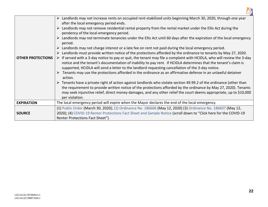

|                          | Landlords may not increase rents on occupied rent-stabilized units beginning March 30, 2020, through one year<br>after the local emergency period ends. |
|--------------------------|---------------------------------------------------------------------------------------------------------------------------------------------------------|
|                          | Landlords may not remove residential rental property from the rental market under the Ellis Act during the<br>pendency of the local emergency period.   |
|                          | Landlords may not terminate tenancies under the Ellis Act until 60 days after the expiration of the local emergency<br>period.                          |
|                          | Landlords may not charge interest or a late fee on rent not paid during the local emergency period.                                                     |
|                          | Landlords must provide written notice of the protections afforded by the ordinance to tenants by May 27, 2020.                                          |
| <b>OTHER PROTECTIONS</b> | F served with a 3-day notice to pay or quit, the tenant may file a complaint with HCIDLA, who will review the 3-day                                     |
|                          | notice and the tenant's documentation of inability to pay rent. If HCIDLA determines that the tenant's claim is                                         |
|                          | supported, HCIDLA will send a letter to the landlord requesting cancellation of the 3-day notice.                                                       |
|                          | Tenants may use the protections afforded in the ordinance as an affirmative defense in an unlawful detainer                                             |
|                          | action.                                                                                                                                                 |
|                          | Tenants have a private right of action against landlords who violate section 49.99.2 of the ordinance (other than                                       |
|                          | the requirement to provide written notice of the protections afforded by the ordinance by May 27, 2020). Tenants                                        |
|                          | may seek injunctive relief, direct money damages, and any other relief the court deems appropriate, up to \$10,000                                      |
|                          | per violation.                                                                                                                                          |
| <b>EXPIRATION</b>        | The local emergency period will expire when the Mayor declares the end of the local emergency.                                                          |
|                          | (1) Public Order (March 30, 2020); (2) Ordinance No. 186606 (May 12, 2020) (3) Ordinance No. 186607 (May 12,                                            |
| <b>SOURCE</b>            | 2020); (4) COVID-19 Renter Protections Fact Sheet and Sample Notice (scroll down to "Click here for the COVID-19                                        |
|                          | Renter Protections Fact Sheet").                                                                                                                        |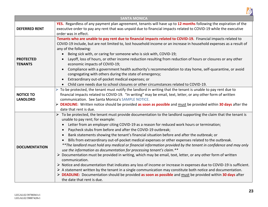

<span id="page-23-1"></span><span id="page-23-0"></span>

| <b>SANTA MONICA</b>                 |                                                                                                                                                                                                                                                                                                                                                                                                                                                                                                                                                                                                                                                                                                                                                                                                                                                                                                                                                                                                                                                                                                                                                                                                                                                                                                                           |
|-------------------------------------|---------------------------------------------------------------------------------------------------------------------------------------------------------------------------------------------------------------------------------------------------------------------------------------------------------------------------------------------------------------------------------------------------------------------------------------------------------------------------------------------------------------------------------------------------------------------------------------------------------------------------------------------------------------------------------------------------------------------------------------------------------------------------------------------------------------------------------------------------------------------------------------------------------------------------------------------------------------------------------------------------------------------------------------------------------------------------------------------------------------------------------------------------------------------------------------------------------------------------------------------------------------------------------------------------------------------------|
| <b>DEFERRED RENT</b>                | YES. Regardless of any payment plan agreement, tenants will have up to 12 months following the expiration of the<br>executive order to pay any rent that was unpaid due to financial impacts related to COVID-19 while the executive<br>order was in effect.                                                                                                                                                                                                                                                                                                                                                                                                                                                                                                                                                                                                                                                                                                                                                                                                                                                                                                                                                                                                                                                              |
| <b>PROTECTED</b><br><b>TENANTS</b>  | Tenants who are unable to pay rent due to financial impacts related to COVID-19. Financial impacts related to<br>COVID-19 include, but are not limited to, lost household income or an increase in household expenses as a result of<br>any of the following:<br>Being sick with, or caring for someone who is sick with, COVID-19;<br>Layoff, loss of hours, or other income reduction resulting from reduction of hours or closures or any other<br>economic impacts of COVID-19;<br>Compliance with a government health authority's recommendation to stay home, self-quarantine, or avoid<br>congregating with others during the state of emergency;<br>Extraordinary out-of-pocket medical expenses; or<br>Child care needs due to school closures or other circumstances related to COVID-19.                                                                                                                                                                                                                                                                                                                                                                                                                                                                                                                       |
| <b>NOTICE TO</b><br><b>LANDLORD</b> | To be protected, the tenant must notify the landlord in writing that the tenant is unable to pay rent due to<br>financial impacts related to COVID-19. "In writing" may be email, text, letter, or any other form of written<br>communication. See Santa Monica's SAMPLE NOTICE.<br>> DEADLINE: Written notice should be provided as soon as possible and must be provided within 30 days after the<br>date that rent is due.                                                                                                                                                                                                                                                                                                                                                                                                                                                                                                                                                                                                                                                                                                                                                                                                                                                                                             |
| <b>DOCUMENTATION</b>                | $\triangleright$ To be protected, the tenant must provide documentation to the landlord supporting the claim that the tenant is<br>unable to pay rent; for example:<br>Letter from an employer citing COVID-19 as a reason for reduced work hours or termination;<br>$\bullet$<br>Paycheck stubs from before and after the COVID-19 outbreak;<br>$\bullet$<br>Bank statements showing the tenant's financial situation before and after the outbreak; or<br>$\bullet$<br>Bills from extraordinary out-of-pocket medical expenses or other expenses related to the outbreak.<br>** The landlord must hold any medical or financial information provided by the tenant in confidence and may only<br>use the information as documentation for processing tenant's claim.**<br>▶ Documentation must be provided in writing, which may be email, text, letter, or any other form of written<br>communication.<br>> Notice and documentation that indicates any loss of income or increase in expenses due to COVID-19 is sufficient.<br>$\triangleright$ A statement written by the tenant in a single communication may constitute both notice and documentation.<br>$\triangleright$ DEADLINE: Documentation should be provided as soon as possible and must be provided within 30 days after<br>the date that rent is due. |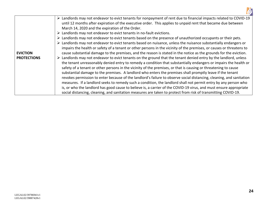

|                    | ► Landlords may not endeavor to evict tenants for nonpayment of rent due to financial impacts related to COVID-19               |  |  |  |
|--------------------|---------------------------------------------------------------------------------------------------------------------------------|--|--|--|
|                    | until 12 months after expiration of the executive order. This applies to unpaid rent that became due between                    |  |  |  |
|                    | March 14, 2020 and the expiration of the Order.                                                                                 |  |  |  |
|                    | $\triangleright$ Landlords may not endeavor to evict tenants in no-fault evictions.                                             |  |  |  |
|                    | > Landlords may not endeavor to evict tenants based on the presence of unauthorized occupants or their pets.                    |  |  |  |
|                    | $\triangleright$ Landlords may not endeavor to evict tenants based on nuisance, unless the nuisance substantially endangers or  |  |  |  |
|                    | impairs the health or safety of a tenant or other persons in the vicinity of the premises, or causes or threatens to            |  |  |  |
| <b>EVICTION</b>    | cause substantial damage to the premises, and the reason is stated in the notice as the grounds for the eviction.               |  |  |  |
| <b>PROTECTIONS</b> | $\triangleright$ Landlords may not endeavor to evict tenants on the ground that the tenant denied entry by the landlord, unless |  |  |  |
|                    | the tenant unreasonably denied entry to remedy a condition that substantially endangers or impairs the health or                |  |  |  |
|                    | safety of a tenant or other persons in the vicinity of the premises, or that is causing or threatening to cause                 |  |  |  |
|                    | substantial damage to the premises. A landlord who enters the premises shall promptly leave if the tenant                       |  |  |  |
|                    | revokes permission to enter because of the landlord's failure to observe social distancing, cleaning, and sanitation            |  |  |  |
|                    | measures. If a landlord seeks to remedy such a condition, the landlord shall not permit entry by any person who                 |  |  |  |
|                    | is, or who the landlord has good cause to believe is, a carrier of the COVID-19 virus, and must ensure appropriate              |  |  |  |
|                    | social distancing, cleaning, and sanitation measures are taken to protect from risk of transmitting COVID-19.                   |  |  |  |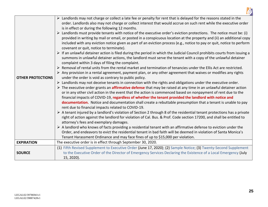

|                          | > Landlords may not charge or collect a late fee or penalty for rent that is delayed for the reasons stated in the                                                                                                                                 |
|--------------------------|----------------------------------------------------------------------------------------------------------------------------------------------------------------------------------------------------------------------------------------------------|
|                          | order. Landlords also may not charge or collect interest that would accrue on such rent while the executive order                                                                                                                                  |
|                          | is in effect or during the following 12 months.                                                                                                                                                                                                    |
|                          | Landlords must provide tenants with notice of the executive order's eviction protections. The notice must be: (i)                                                                                                                                  |
|                          | provided in writing by mail or email, or posted in a conspicuous location at the property and (ii) an additional copy                                                                                                                              |
|                          | included with any eviction notice given as part of an eviction process (e.g., notice to pay or quit, notice to perform<br>covenant or quit, notice to terminate).                                                                                  |
|                          | $\triangleright$ If an unlawful detainer action is filed during the period in which the Judicial Council prohibits courts from issuing a                                                                                                           |
|                          | summons in unlawful detainer actions, the landlord must serve the tenant with a copy of the unlawful detainer                                                                                                                                      |
|                          | complaint within 3 days of filing the complaint.                                                                                                                                                                                                   |
|                          | > Removal of rental units from the rental market and termination of tenancies under the Ellis Act are restricted.                                                                                                                                  |
|                          | $\triangleright$ Any provision in a rental agreement, payment plan, or any other agreement that waives or modifies any rights                                                                                                                      |
| <b>OTHER PROTECTIONS</b> | under the order is void as contrary to public policy.                                                                                                                                                                                              |
|                          | $\triangleright$ Landlords may not deceive tenants in connection with the rights and obligations under the executive order.                                                                                                                        |
|                          | $\triangleright$ The executive order grants an <b>affirmative defense</b> that may be raised at any time in an unlawful detainer action                                                                                                            |
|                          | or in any other civil action in the event that the action is commenced based on nonpayment of rent due to the                                                                                                                                      |
|                          | financial impacts of COVID-19, regardless of whether the tenant provided the landlord with notice and                                                                                                                                              |
|                          | documentation. Notice and documentation shall create a rebuttable presumption that a tenant is unable to pay                                                                                                                                       |
|                          | rent due to financial impacts related to COVID-19.                                                                                                                                                                                                 |
|                          | A tenant injured by a landlord's violation of Section 2 through 8 of the residential tenant protections has a private                                                                                                                              |
|                          | right of action against the landlord for violation of Cal. Bus. & Prof. Code section 17200, and shall be entitled to                                                                                                                               |
|                          | attorney's fees and exemplary damages.                                                                                                                                                                                                             |
|                          | $\triangleright$ A landlord who knows of facts providing a residential tenant with an affirmative defense to eviction under the<br>Order, and endeavors to evict the residential tenant in bad faith will be deemed in violation of Santa Monica's |
|                          | Tenant Harassment Ordinance and may face fines of up to \$15,000 per violation.                                                                                                                                                                    |
| <b>EXPIRATION</b>        | The executive order is in effect through September 30, 2020.                                                                                                                                                                                       |
|                          | (1) Fifth Revised Supplement to Executive Order (June 17, 2020); (2) Sample Notice; (3) Twenty-Second Supplement                                                                                                                                   |
| <b>SOURCE</b>            | to the Executive Order of the Director of Emergency Services Declaring the Existence of a Local Emergency (July                                                                                                                                    |
|                          | 15, 2020).                                                                                                                                                                                                                                         |
|                          |                                                                                                                                                                                                                                                    |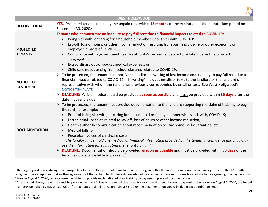

<span id="page-26-1"></span><span id="page-26-0"></span>

| <b>WEST HOLLYWOOD</b>               |                                                                                                                                                                                                                                                                                                                                                                                                                                                                                                                                                                                                                                                                                                                                                                                                                                                                                                                                         |  |
|-------------------------------------|-----------------------------------------------------------------------------------------------------------------------------------------------------------------------------------------------------------------------------------------------------------------------------------------------------------------------------------------------------------------------------------------------------------------------------------------------------------------------------------------------------------------------------------------------------------------------------------------------------------------------------------------------------------------------------------------------------------------------------------------------------------------------------------------------------------------------------------------------------------------------------------------------------------------------------------------|--|
| <b>DEFERRED RENT</b>                | YES. Protected tenants must pay the unpaid rent within 12 months of the expiration of the moratorium period on<br>September 30, 2020. <sup>1</sup>                                                                                                                                                                                                                                                                                                                                                                                                                                                                                                                                                                                                                                                                                                                                                                                      |  |
| <b>PROTECTED</b><br><b>TENANTS</b>  | Tenants who demonstrate an inability to pay full rent due to financial impacts related to COVID-19:<br>Being sick with, or caring for a household member who is sick with, COVID-19;<br>Lay-off, loss of hours, or other income reduction resulting from business closure or other economic or<br>employer impacts of COVID-19;<br>Compliance with a government health authority's recommendation to isolate, quarantine or avoid<br>congregating;<br>Extraordinary out-of-pocket medical expenses; or<br>Child care needs arising from school closures related to COVID-19.<br>$\bullet$                                                                                                                                                                                                                                                                                                                                               |  |
| <b>NOTICE TO</b><br><b>LANDLORD</b> | To be protected, the tenant must notify the landlord in writing of lost income and inability to pay full rent due to<br>financial impacts related to COVID-19. "In writing" includes emails or texts to the landlord or the landlord's<br>representative with whom the tenant has previously corresponded by email or text. See West Hollywood's<br><b>NOTICE TEMPLATE.</b><br>> DEADLINE: Written notice should be provided as soon as possible and must be provided within 30 days after the<br>date that rent is due.                                                                                                                                                                                                                                                                                                                                                                                                                |  |
| <b>DOCUMENTATION</b>                | $\triangleright$ To be protected, the tenant must provide documentation to the landlord supporting the claim of inability to pay<br>the rent; for example: $2$<br>Proof of being sick with, or caring for a household or family member who is sick with, COVID-19;<br>$\bullet$<br>Letter, email, or texts related to lay-off, loss of hours or other income reduction;<br>$\bullet$<br>Health authority communication about recommendation to stay home, self-quarantine, etc.;<br>$\bullet$<br>Medical bills; or<br>$\bullet$<br>Receipts/invoices of child-care costs.<br>** The landlord must hold any medical or financial information provided by the tenant in confidence and may only<br>use the information for evaluating the tenant's claim.**<br><b>DEADLINE:</b> Documentation should be provided as soon as possible and must be provided within 30 days of the<br>tenant's notice of inability to pay rent. <sup>3</sup> |  |

<sup>&</sup>lt;sup>1</sup> The urgency ordinance strongly encourages landlords to offer payment plans to tenants during and after the moratorium period, which may go beyond the 12-month repayment period upon mutual written agreement of the parties. NOTE: Tenants are advised to exercise caution and to seek legal advice before agreeing to a payment plan. <sup>2</sup> Prior to August 1, 2020, tenants were permitted to provide explanation of their inability to pay rent in place of documentation.

<sup>&</sup>lt;sup>3</sup> As explained above, the notice must be provided within 30 days of the rental due date. For example, if a tenant cannot pay rent that was due on August 1, 2020, the tenant must provide notice by August 31, 2020. If the tenant provided notice on August 31, 2020, the documentation would be due on September 30, 2020.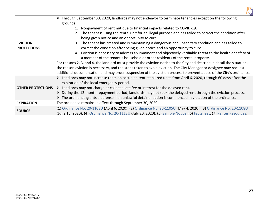

|                          | Through September 30, 2020, landlords may not endeavor to terminate tenancies except on the following<br>➤                 |  |  |  |
|--------------------------|----------------------------------------------------------------------------------------------------------------------------|--|--|--|
|                          | grounds:                                                                                                                   |  |  |  |
|                          | 1. Nonpayment of rent not due to financial impacts related to COVID-19.                                                    |  |  |  |
|                          | 2. The tenant is using the rental unit for an illegal purpose and has failed to correct the condition after                |  |  |  |
|                          | being given notice and an opportunity to cure.                                                                             |  |  |  |
| <b>EVICTION</b>          | 3. The tenant has created and is maintaining a dangerous and unsanitary condition and has failed to                        |  |  |  |
| <b>PROTECTIONS</b>       | correct the condition after being given notice and an opportunity to cure.                                                 |  |  |  |
|                          | 4. Eviction is necessary to address an imminent and objectively verifiable threat to the health or safety of               |  |  |  |
|                          | a member of the tenant's household or other residents of the rental property.                                              |  |  |  |
|                          | For reasons 2, 3, and 4, the landlord must provide the eviction notice to the City and describe in detail the situation,   |  |  |  |
|                          | the reason eviction is necessary, and the steps taken to avoid eviction. The City Manager or designee may request          |  |  |  |
|                          | additional documentation and may order suspension of the eviction process to prevent abuse of the City's ordinance.        |  |  |  |
|                          | Landlords may not increase rents on occupied rent-stabilized units from April 6, 2020, through 60 days after the           |  |  |  |
|                          | expiration of the local emergency period.                                                                                  |  |  |  |
| <b>OTHER PROTECTIONS</b> | Landlords may not charge or collect a late fee or interest for the delayed rent.<br>➤                                      |  |  |  |
|                          | During the 12-month repayment period, landlords may not seek the delayed rent through the eviction process.                |  |  |  |
|                          | $\triangleright$ The ordinance grants a defense if an unlawful detainer action is commenced in violation of the ordinance. |  |  |  |
| <b>EXPIRATION</b>        | The ordinance remains in effect through September 30, 2020.                                                                |  |  |  |
| <b>SOURCE</b>            | (1) Ordinance No. 20-1103U (April 6, 2020); (2) Ordinance No. 20-1105U (May 4, 2020); (3) Ordinance No. 20-1108U           |  |  |  |
|                          | (June 16, 2020); (4) Ordinance No. 20-1113U (July 20, 2020); (5) Sample Notice; (6) Factsheet; (7) Renter Resources.       |  |  |  |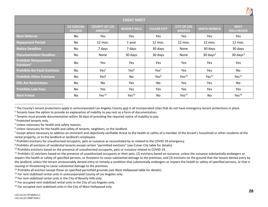

<span id="page-28-1"></span>

|                                                       |                                      |                                              |                      |                    |                                      |                     | $\mathbf{H}$                    |
|-------------------------------------------------------|--------------------------------------|----------------------------------------------|----------------------|--------------------|--------------------------------------|---------------------|---------------------------------|
| <b>CHEAT SHEET</b>                                    |                                      |                                              |                      |                    |                                      |                     |                                 |
|                                                       | <b>CA JUDICIAL</b><br><b>COUNCIL</b> | <b>COUNTY OF LOS</b><br>ANGELES <sup>1</sup> | <b>BEVERLY HILLS</b> | <b>CULVER CITY</b> | <b>CITY OF LOS</b><br><b>ANGELES</b> | <b>SANTA MONICA</b> | <b>WEST</b><br><b>HOLLYWOOD</b> |
| <b>Rent Deferral</b>                                  | No                                   | Yes                                          | Yes                  | <b>Yes</b>         | Yes                                  | Yes                 | Yes                             |
| <b>Repayment Period</b>                               | No                                   | 12 mos.                                      | 1 year               | 12 mos.            | 12 mos.                              | 12 mos.             | 12 mos.                         |
| <b>Notice Deadline</b>                                | No                                   | 7 days                                       | 7 days               | 30 days            | None                                 | 30 days             | 30 days                         |
| <b>Documentation Deadline</b>                         | No                                   | None                                         | 30 days              | 30 days            | None                                 | $30 \text{ days}^2$ | $30 \text{ days}^3$             |
| <b>Prohibits Nonpayment</b><br>Evictions <sup>4</sup> | No                                   | Yes                                          | Yes                  | Yes                | Yes                                  | Yes                 | Yes                             |
| <b>Prohibits No-Fault Evictions</b>                   | No                                   | Yes <sup>5</sup>                             | Yes <sup>6</sup>     | Yes <sup>7</sup>   | Yes                                  | Yes                 | No                              |
| <b>Prohibits Other Evictions</b>                      | No                                   | Yes <sup>8</sup>                             | No                   | Yes <sup>9</sup>   | Yes <sup>10</sup>                    | Yes <sup>11</sup>   | Yes <sup>12</sup>               |
| <b>Ellis Act Restrictions</b>                         | No                                   | No                                           | <b>Yes</b>           | No                 | Yes                                  | Yes                 | No                              |
| <b>Prohibits Late Fees</b>                            | No                                   | Yes                                          | Yes                  | Yes                | Yes                                  | Yes                 | Yes                             |
| <b>Rent Freeze</b>                                    | No                                   | Yes <sup>13</sup>                            | Yes <sup>14</sup>    | No                 | Yes <sup>15</sup>                    | No                  | Yes <sup>16</sup>               |

<span id="page-28-0"></span><sup>1</sup> The County's tenant protections apply in unincorporated Los Angeles County and in all incorporated cities that do not have emergency tenant protections in place.

<sup>2</sup> Tenants have the option to provide an explanation of inability to pay rent as a form of documentation.

<sup>3</sup> Tenants must provide documentation within 30 days of providing the required notice of inability to pay.

<sup>4</sup> Protected tenants only.

<sup>5</sup> Unless necessary for health and safety reasons.

<sup>9</sup> Prohibits all evictions of residential tenants except certain "permitted evictions" (see Culver City table for details).

<sup>10</sup> Prohibits evictions based on the presence of unauthorized occupants, pets or nuisance related to COVID-19.

<sup>&</sup>lt;sup>6</sup> Unless necessary for the health and safety of tenants, neighbors, or the landlord.

 $^7$  Except where necessary to address an imminent and objectively verifiable threat to the health or safety of a member of the tenant's household or other residents of the rental property, or to the landlord or landlord's employees.

<sup>8</sup> Prohibits evictions for unauthorized occupants, pets or nuisance as necessitated by or related to the COVID-19 emergency.

 $11$  Prohibits (1) evictions based on the presence of unauthorized occupants or their pets; (2) evictions based on nuisance, unless the nuisance substantially endangers or impairs the health or safety of specified persons, or threatens to cause substantial damage to the premises; and (3) evictions on the ground that the tenant denied entry by the landlord, unless the tenant unreasonably denied entry to remedy a condition that substantially endangers or impairs the health or safety of specified persons, or that is causing or threatening to cause substantial damage to the premises.

<sup>&</sup>lt;sup>12</sup> Prohibits all eviction except those on specified permitted grounds (see West Hollywood table for details).

<sup>&</sup>lt;sup>13</sup> For rent-stabilized rental units in unincorporated County of Los Angeles only.

<sup>&</sup>lt;sup>14</sup> For rent-stabilized rental units in the City of Beverly Hills only.

<sup>&</sup>lt;sup>15</sup> For occupied rent-stabilized rental units in the City of Los Angeles only.

<sup>&</sup>lt;sup>16</sup> For occupied rent-stabilized units in the City of West Hollywood only.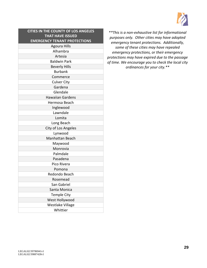

<span id="page-29-0"></span>

| <b>CITIES IN THE COUNTY OF LOS ANGELES</b> |
|--------------------------------------------|
| <b>THAT HAVE ISSUED</b>                    |
| <b>EMERGENCY TENANT PROTECTIONS</b>        |
| <b>Agoura Hills</b>                        |
| Alhambra                                   |
| Artesia                                    |
| <b>Baldwin Park</b>                        |
| <b>Beverly Hills</b>                       |
| <b>Burbank</b>                             |
| Commerce                                   |
| <b>Culver City</b>                         |
| Gardena                                    |
| Glendale                                   |
| <b>Hawaiian Gardens</b>                    |
| Hermosa Beach                              |
| Inglewood                                  |
| Lawndale                                   |
| Lomita                                     |
| Long Beach                                 |
| City of Los Angeles                        |
| Lynwood                                    |
| <b>Manhattan Beach</b>                     |
| Maywood                                    |
| Monrovia                                   |
| Palmdale                                   |
| Pasadena                                   |
| Pico Rivera                                |
| Pomona                                     |
| Redondo Beach                              |
| Rosemead                                   |
| San Gabriel                                |
| Santa Monica                               |
| <b>Temple City</b>                         |
| West Hollywood                             |
| <b>Westlake Village</b>                    |
| Whittier                                   |

*\*\*This is a non-exhaustive list for informational purposes only. Other cities may have adopted emergency tenant protections. Additionally, some of these cities may have repealed emergency protections, or their emergency protections may have expired due to the passage of time. We encourage you to check the local city ordinances for your city.\*\**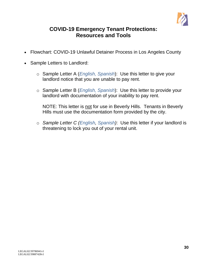

# **COVID-19 Emergency Tenant Protections: Resources and Tools**

- <span id="page-30-0"></span>• Flowchart: COVID-19 Unlawful Detainer Process in Los Angeles County
- Sample Letters to Landlord:
	- o Sample Letter A (*[English,](#page-32-0) [Spanish](#page-33-0)*): Use this letter to give your landlord notice that you are unable to pay rent.
	- o Sample Letter B (*[English,](#page-34-0) [Spanish](#page-35-0)*): Use this letter to provide your landlord with documentation of your inability to pay rent.

NOTE: This letter is not for use in Beverly Hills. Tenants in Beverly Hills must use the documentation form provided by the city.

o *Sample Letter C [\(English,](#page-36-0) [Spanish\)](#page-37-0)*: Use this letter if your landlord is threatening to lock you out of your rental unit.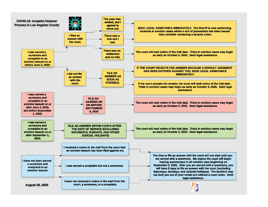<span id="page-31-0"></span>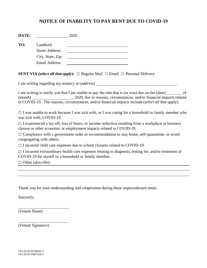# **NOTICE OF INABILITY TO PAY RENT DUE TO COVID-19**

<span id="page-32-0"></span>

| <b>DATE:</b> |                        | 2020 |
|--------------|------------------------|------|
| TO:          | Landlord:              |      |
|              | <b>Street Address:</b> |      |
|              | City, State, Zip:      |      |
|              | <b>Email Address:</b>  |      |

**SENT VIA** (*select all that apply*):  $\Box$  Regular Mail  $\Box$  Email  $\Box$  Personal Delivery

I am writing regarding my tenancy at (*address*) .

I am writing to notify you that I am unable to pay the rent that is (or was) due on the (*date*) <u>section</u> of (*month*)  $\qquad \qquad$ , 2020, due to reasons, circumstances, and/or financial impacts related to COVID-19. The reasons, circumstances, and/or financial impacts include (*select all that apply*):

 $\Box$  I was unable to work because I was sick with, or I was caring for a household or family member who was sick with, COVID-19.

 $\Box$  I experienced a lay-off, loss of hours, or income reduction resulting from a workplace or business closure or other economic or employment impacts related to COVID-19.

 $\Box$  Compliance with a government order or recommendation to stay home, self-quarantine, or avoid congregating with others.

 $\Box$  I incurred child care expenses due to school closures related to COVID-19.

 $\Box$  I incurred extraordinary health care expenses relating to diagnosis, testing for, and/or treatment of COVID-19 for myself or a household or family member.

□ Other (*describe*):

Thank you for your understanding and cooperation during these unprecedented times.

Sincerely,

 $\overline{a}$ 

 $\overline{a}$ 

(*Tenant Name*)

(*Tenant Signature*)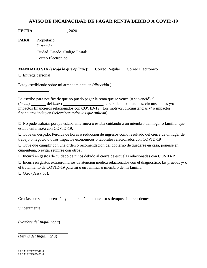# **AVISO DE INCAPACIDAD DE PAGAR RENTA DEBIDO A COVID-19**

<span id="page-33-0"></span>

| PARA:                            | Propietario:<br><u> 1980 - Johann Barn, amerikan besteman besteman besteman besteman besteman besteman besteman besteman bestema</u><br>Dirección:<br>Ciudad, Estado, Codigo Postal:<br><u> 1980 - Johann Stein, fransk politik (d. 1980)</u><br>Correo Electrónico: |
|----------------------------------|----------------------------------------------------------------------------------------------------------------------------------------------------------------------------------------------------------------------------------------------------------------------|
| $\Box$ Entrega personal          | <b>MANDADO VIA</b> (escoja lo que aplique): $\Box$ Correo Regular $\Box$ Correo Electronico                                                                                                                                                                          |
|                                  | Estoy escribiendo sobre mi arrendamienta en <i>(dirección)</i>                                                                                                                                                                                                       |
|                                  | Le escribo para notificarle que no puedo pagar la renta que se vence (o se venció) el<br>impactos financieros relacionados con COVID-19. Los motivos, circunstancias y/o impactos<br>financieros incluyen (seleccione todos los que aplican):                        |
|                                  | $\Box$ No pude trabajar porque estaba enfermo/a o estaba cuidando a un miembro del hogar o familiar que<br>estaba enfermo/a con COVID-19.                                                                                                                            |
|                                  | □ Tuve un despido, Pérdida de horas o reducción de ingresos como resultado del cierre de un lugar de<br>trabajo o negocio o otros impactos economicos o laborales relacionados con COVID-19                                                                          |
|                                  | □ Tuve que cumplir con una orden o recomendación del gobierno de quedarse en casa, ponerse en<br>cuarentena, o evitar reunirse con otros.                                                                                                                            |
|                                  | $\Box$ Incurrí en gastos de cuidado de ninos debido al cierre de escuelas relacionadas con COVID-19.                                                                                                                                                                 |
|                                  | $\Box$ Incurrí en gastos extraordinarios de atencion médica relacionados con el diagnóstico, las pruebas y/o<br>el tratamiento de COVID-19 para mi o un familiar o miembro de mi familia.                                                                            |
| $\Box$ Otro ( <i>describa</i> ): |                                                                                                                                                                                                                                                                      |
|                                  |                                                                                                                                                                                                                                                                      |
|                                  | Gracias por su comprensión y cooperación durante estos tiempos sin precedentes.                                                                                                                                                                                      |
| Sinceramente,                    |                                                                                                                                                                                                                                                                      |

 $\overline{a}$ (*Nombre del Inquilino/ a*)

(*Firma del Inquilino/ a*)

 $\overline{a}$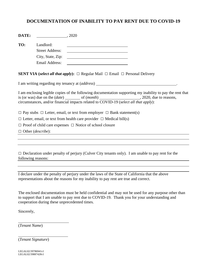# <span id="page-34-0"></span>**DOCUMENTATION OF INABILITY TO PAY RENT DUE TO COVID-19**

| DATE:              | , 2020                            |                                                                                                                                                                                                   |
|--------------------|-----------------------------------|---------------------------------------------------------------------------------------------------------------------------------------------------------------------------------------------------|
| TO:                | Landlord:                         |                                                                                                                                                                                                   |
|                    | <b>Street Address:</b>            | <u> 1980 - Jan Stein Stein, fransk politik (f. 1980)</u>                                                                                                                                          |
|                    | City, State, Zip:                 |                                                                                                                                                                                                   |
|                    | <b>Email Address:</b>             | <u> 1989 - Johann Stoff, deutscher Stoffen und der Stoffen und der Stoffen und der Stoffen und der Stoffen und der</u>                                                                            |
|                    |                                   | <b>SENT VIA</b> (select all that apply): $\Box$ Regular Mail $\Box$ Email $\Box$ Personal Delivery                                                                                                |
|                    |                                   | I am writing regarding my tenancy at (address) _________________________________                                                                                                                  |
|                    |                                   | I am enclosing legible copies of the following documentation supporting my inability to pay the rent that<br>circumstances, and/or financial impacts related to COVID-19 (select all that apply): |
|                    |                                   | $\Box$ Pay stubs $\Box$ Letter, email, or text from employer $\Box$ Bank statement(s)                                                                                                             |
|                    |                                   | $\Box$ Letter, email, or text from health care provider $\Box$ Medical bill(s)                                                                                                                    |
|                    |                                   | $\Box$ Proof of child care expenses $\Box$ Notice of school closure                                                                                                                               |
|                    | $\Box$ Other ( <i>describe</i> ): |                                                                                                                                                                                                   |
|                    |                                   |                                                                                                                                                                                                   |
| following reasons: |                                   | $\Box$ Declaration under penalty of perjury (Culver City tenants only). I am unable to pay rent for the                                                                                           |
|                    |                                   |                                                                                                                                                                                                   |
|                    |                                   |                                                                                                                                                                                                   |

I declare under the penalty of perjury under the laws of the State of California that the above representations about the reasons for my inability to pay rent are true and correct.

The enclosed documentation must be held confidential and may not be used for any purpose other than to support that I am unable to pay rent due to COVID-19. Thank you for your understanding and cooperation during these unprecedented times.

Sincerely,

 $\overline{a}$ 

 $\overline{a}$ 

(*Tenant Name*)

(*Tenant Signature*)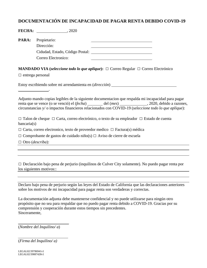# <span id="page-35-0"></span>**DOCUMENTACIÓN DE INCAPACIDAD DE PAGAR RENTA DEBIDO COVID-19**

|                         | <b>FECHA:</b> ______________________, 2020                                                                                                                                                                |
|-------------------------|-----------------------------------------------------------------------------------------------------------------------------------------------------------------------------------------------------------|
| PARA:                   | Propietario:<br>Dirección:                                                                                                                                                                                |
|                         |                                                                                                                                                                                                           |
|                         | Correo Electronico:                                                                                                                                                                                       |
|                         | <b>MANDADO VIA</b> (seleccione todo lo que aplique): $\Box$ Correo Regular $\Box$ Correo Electrónico                                                                                                      |
| $\Box$ entrega personal |                                                                                                                                                                                                           |
|                         | Estoy escribiendo sobre mi arrendamienta en (dirección)                                                                                                                                                   |
|                         | Adjunto mando copias legibles de la siguiente documentacion que respalda mi incapacidad para pagar<br>circunstancias y/o impactos financieros relacionados con COVID-19 (seleccione todo lo que aplique): |
| bancaria(s)             | $\Box$ Talon de cheque $\Box$ Carta, correo electrónico, o texto de su empleador $\Box$ Estado de cuenta                                                                                                  |
|                         | $\Box$ Carta, correo electronico, texto de proveedor medico $\Box$ Factura(s) médica                                                                                                                      |
|                         | $\Box$ Comprobante de gastos de cuidado niño(s) $\Box$ Aviso de cierre de escuela                                                                                                                         |
| $\Box$ Otro (describa): |                                                                                                                                                                                                           |
|                         |                                                                                                                                                                                                           |
|                         |                                                                                                                                                                                                           |
|                         | $\Box$ Declaración bajo pena de perjurio (inquilinos de Culver City solamente). No puedo pagar renta por<br>los siguientes motivos::<br><u> 1989 - John Stein, Amerikaansk politiker (* 1918)</u>         |
|                         |                                                                                                                                                                                                           |
|                         |                                                                                                                                                                                                           |
|                         | Declaro bajo pena de perjurio según las leyes del Estado de California que las declaraciones anteriores<br>sobre los motivos de mi incapacidad para pagar renta son verdaderas y correctas.               |

La documentación adjunta debe mantenerse confidencial y no puede utilizarse para ningún otro propósito que no sea para respaldar que no puedo pagar renta debido a COVID-19. Gracias por su comprensión y cooperación durante estos tiempos sin precedentes. Sinceramente,

(*Nombre del Inquilino/ a*)

(*Firma del Inquilino/ a)*

 $\overline{a}$ 

 $\overline{a}$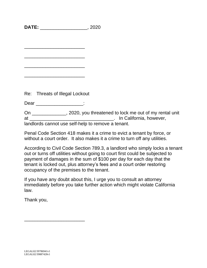<span id="page-36-0"></span>**DATE:** \_\_\_\_\_\_\_\_\_\_\_\_\_\_\_\_\_\_, 2020

\_\_\_\_\_\_\_\_\_\_\_\_\_\_\_\_\_\_\_\_\_\_\_

\_\_\_\_\_\_\_\_\_\_\_\_\_\_\_\_\_\_\_\_\_\_\_

\_\_\_\_\_\_\_\_\_\_\_\_\_\_\_\_\_\_\_\_\_\_\_

\_\_\_\_\_\_\_\_\_\_\_\_\_\_\_\_\_\_\_\_\_\_\_

Re: Threats of Illegal Lockout

Dear \_\_\_\_\_\_\_\_\_\_\_\_\_\_\_\_\_\_\_\_\_:

On \_\_\_\_\_\_\_\_\_\_\_\_\_, 2020, you threatened to lock me out of my rental unit at and the contract of the contract of the contract of the California, however, landlords cannot use self-help to remove a tenant.

Penal Code Section 418 makes it a crime to evict a tenant by force, or without a court order. It also makes it a crime to turn off any utilities.

According to Civil Code Section 789.3, a landlord who simply locks a tenant out or turns off utilities without going to court first could be subjected to payment of damages in the sum of \$100 per day for each day that the tenant is locked out, plus attorney's fees and a court order restoring occupancy of the premises to the tenant.

If you have any doubt about this, I urge you to consult an attorney immediately before you take further action which might violate California law.

Thank you,

\_\_\_\_\_\_\_\_\_\_\_\_\_\_\_\_\_\_\_\_\_\_\_